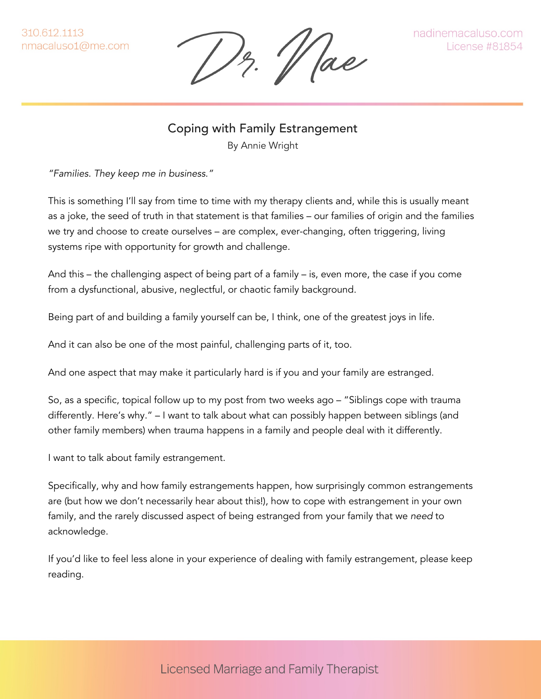1)z. 11 ae

Coping with Family Estrangement By Annie Wright

*"Families. They keep me in business."*

This is something I'll say from time to time with my therapy clients and, while this is usually meant as a joke, the seed of truth in that statement is that families – our families of origin and the families we try and choose to create ourselves – are complex, ever-changing, often triggering, living systems ripe with opportunity for growth and challenge.

And this – the challenging aspect of being part of a family – is, even more, the case if you come from a dysfunctional, abusive, neglectful, or chaotic family background.

Being part of and building a family yourself can be, I think, one of the greatest joys in life.

And it can also be one of the most painful, challenging parts of it, too.

And one aspect that may make it particularly hard is if you and your family are estranged.

So, as a specific, topical follow up to my post from two weeks ago – "Siblings cope with trauma differently. Here's why." – I want to talk about what can possibly happen between siblings (and other family members) when trauma happens in a family and people deal with it differently.

I want to talk about family estrangement.

Specifically, why and how family estrangements happen, how surprisingly common estrangements are (but how we don't necessarily hear about this!), how to cope with estrangement in your own family, and the rarely discussed aspect of being estranged from your family that we *need* to acknowledge.

If you'd like to feel less alone in your experience of dealing with family estrangement, please keep reading.

**Licensed Marriage and Family Therapist**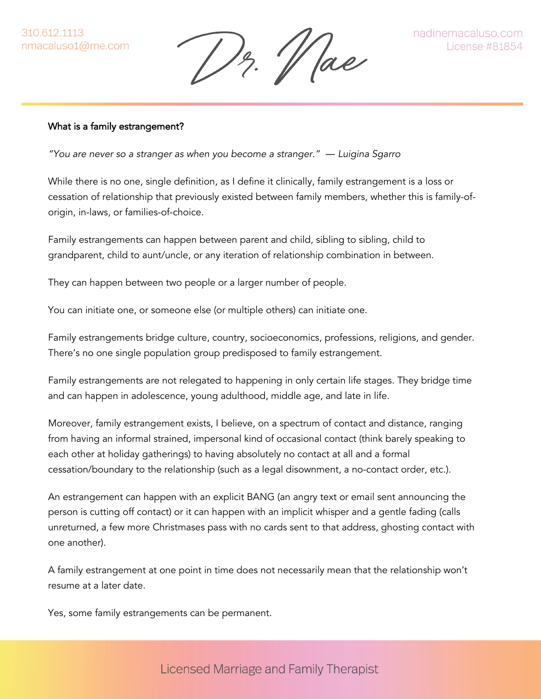13. Vae

#### What is a family estrangement?

*"You are never so a stranger as when you become a stranger." ― Luigina Sgarro*

While there is no one, single definition, as I define it clinically, family estrangement is a loss or cessation of relationship that previously existed between family members, whether this is family-oforigin, in-laws, or families-of-choice.

Family estrangements can happen between parent and child, sibling to sibling, child to grandparent, child to aunt/uncle, or any iteration of relationship combination in between.

They can happen between two people or a larger number of people.

You can initiate one, or someone else (or multiple others) can initiate one.

Family estrangements bridge culture, country, socioeconomics, professions, religions, and gender. There's no one single population group predisposed to family estrangement.

Family estrangements are not relegated to happening in only certain life stages. They bridge time and can happen in adolescence, young adulthood, middle age, and late in life.

Moreover, family estrangement exists, I believe, on a spectrum of contact and distance, ranging from having an informal strained, impersonal kind of occasional contact (think barely speaking to each other at holiday gatherings) to having absolutely no contact at all and a formal cessation/boundary to the relationship (such as a legal disownment, a no-contact order, etc.).

An estrangement can happen with an explicit BANG (an angry text or email sent announcing the person is cutting off contact) or it can happen with an implicit whisper and a gentle fading (calls unreturned, a few more Christmases pass with no cards sent to that address, ghosting contact with one another).

A family estrangement at one point in time does not necessarily mean that the relationship won't resume at a later date.

Yes, some family estrangements can be permanent.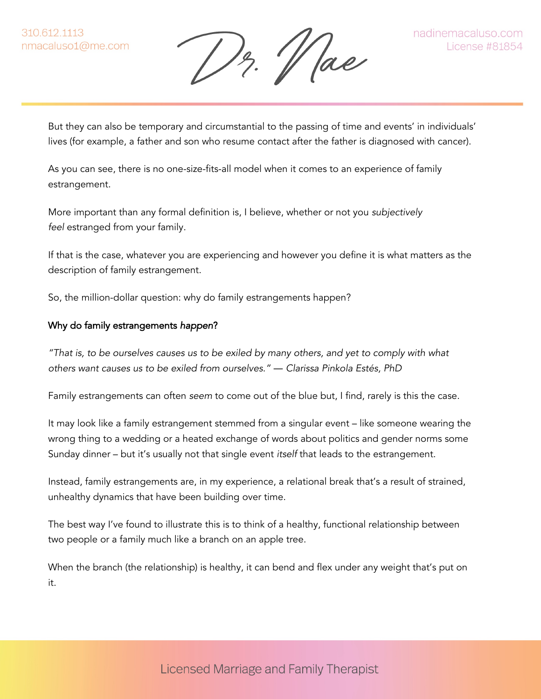13. Vae

But they can also be temporary and circumstantial to the passing of time and events' in individuals' lives (for example, a father and son who resume contact after the father is diagnosed with cancer).

As you can see, there is no one-size-fits-all model when it comes to an experience of family estrangement.

More important than any formal definition is, I believe, whether or not you *subjectively feel* estranged from your family.

If that is the case, whatever you are experiencing and however you define it is what matters as the description of family estrangement.

So, the million-dollar question: why do family estrangements happen?

## Why do family estrangements *happen*?

*"That is, to be ourselves causes us to be exiled by many others, and yet to comply with what others want causes us to be exiled from ourselves." ― Clarissa Pinkola Estés, PhD*

Family estrangements can often *seem* to come out of the blue but, I find, rarely is this the case.

It may look like a family estrangement stemmed from a singular event – like someone wearing the wrong thing to a wedding or a heated exchange of words about politics and gender norms some Sunday dinner – but it's usually not that single event *itself* that leads to the estrangement.

Instead, family estrangements are, in my experience, a relational break that's a result of strained, unhealthy dynamics that have been building over time.

The best way I've found to illustrate this is to think of a healthy, functional relationship between two people or a family much like a branch on an apple tree.

When the branch (the relationship) is healthy, it can bend and flex under any weight that's put on it.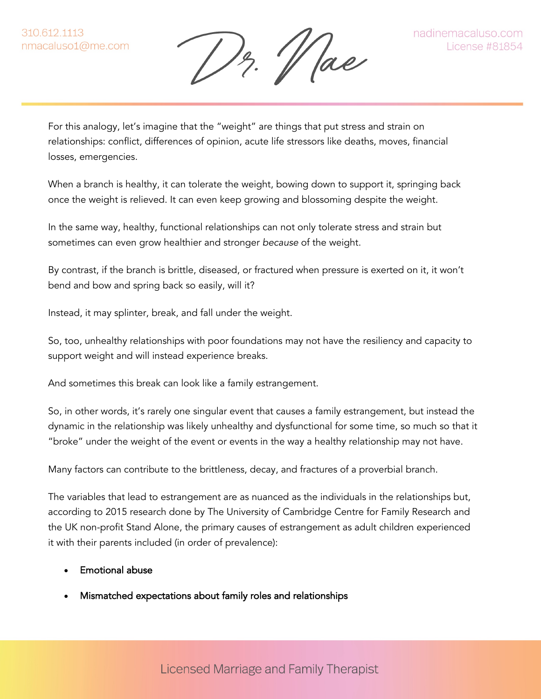Dr. Wae

For this analogy, let's imagine that the "weight" are things that put stress and strain on relationships: conflict, differences of opinion, acute life stressors like deaths, moves, financial losses, emergencies.

When a branch is healthy, it can tolerate the weight, bowing down to support it, springing back once the weight is relieved. It can even keep growing and blossoming despite the weight.

In the same way, healthy, functional relationships can not only tolerate stress and strain but sometimes can even grow healthier and stronger *because* of the weight.

By contrast, if the branch is brittle, diseased, or fractured when pressure is exerted on it, it won't bend and bow and spring back so easily, will it?

Instead, it may splinter, break, and fall under the weight.

So, too, unhealthy relationships with poor foundations may not have the resiliency and capacity to support weight and will instead experience breaks.

And sometimes this break can look like a family estrangement.

So, in other words, it's rarely one singular event that causes a family estrangement, but instead the dynamic in the relationship was likely unhealthy and dysfunctional for some time, so much so that it "broke" under the weight of the event or events in the way a healthy relationship may not have.

Many factors can contribute to the brittleness, decay, and fractures of a proverbial branch.

The variables that lead to estrangement are as nuanced as the individuals in the relationships but, according to 2015 research done by The University of Cambridge Centre for Family Research and the UK non-profit Stand Alone, the primary causes of estrangement as adult children experienced it with their parents included (in order of prevalence):

## • Emotional abuse

• Mismatched expectations about family roles and relationships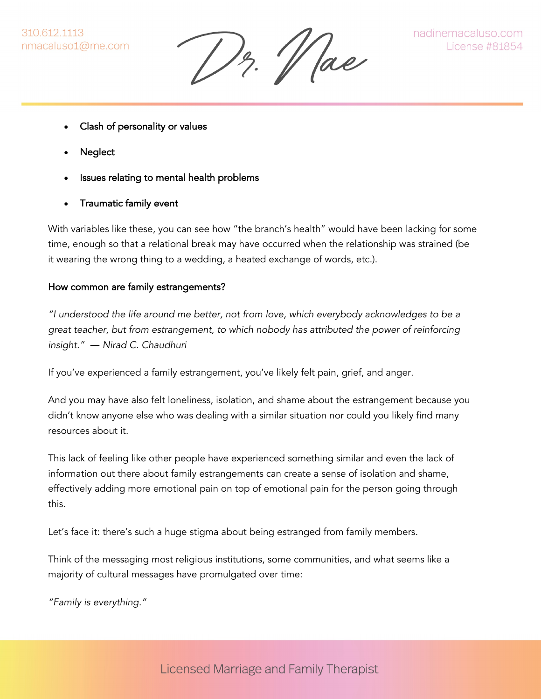13. Vae

- Clash of personality or values
- **Neglect**
- Issues relating to mental health problems
- Traumatic family event

With variables like these, you can see how "the branch's health" would have been lacking for some time, enough so that a relational break may have occurred when the relationship was strained (be it wearing the wrong thing to a wedding, a heated exchange of words, etc.).

## How common are family estrangements?

*"I understood the life around me better, not from love, which everybody acknowledges to be a great teacher, but from estrangement, to which nobody has attributed the power of reinforcing insight." ― Nirad C. Chaudhuri*

If you've experienced a family estrangement, you've likely felt pain, grief, and anger.

And you may have also felt loneliness, isolation, and shame about the estrangement because you didn't know anyone else who was dealing with a similar situation nor could you likely find many resources about it.

This lack of feeling like other people have experienced something similar and even the lack of information out there about family estrangements can create a sense of isolation and shame, effectively adding more emotional pain on top of emotional pain for the person going through this.

Let's face it: there's such a huge stigma about being estranged from family members.

Think of the messaging most religious institutions, some communities, and what seems like a majority of cultural messages have promulgated over time:

*"Family is everything."*

**Licensed Marriage and Family Therapist**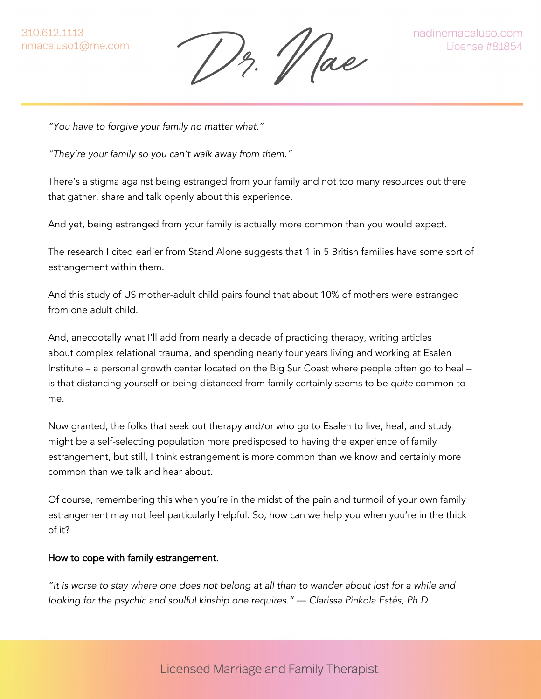12. Vae

*"You have to forgive your family no matter what."*

*"They're your family so you can't walk away from them."*

There's a stigma against being estranged from your family and not too many resources out there that gather, share and talk openly about this experience.

And yet, being estranged from your family is actually more common than you would expect.

The research I cited earlier from Stand Alone suggests that 1 in 5 British families have some sort of estrangement within them.

And this study of US mother-adult child pairs found that about 10% of mothers were estranged from one adult child.

And, anecdotally what I'll add from nearly a decade of practicing therapy, writing articles about complex relational trauma, and spending nearly four years living and working at Esalen Institute – a personal growth center located on the Big Sur Coast where people often go to heal – is that distancing yourself or being distanced from family certainly seems to be *quite* common to me.

Now granted, the folks that seek out therapy and/or who go to Esalen to live, heal, and study might be a self-selecting population more predisposed to having the experience of family estrangement, but still, I think estrangement is more common than we know and certainly more common than we talk and hear about.

Of course, remembering this when you're in the midst of the pain and turmoil of your own family estrangement may not feel particularly helpful. So, how can we help you when you're in the thick of it?

#### How to cope with family estrangement.

*"It is worse to stay where one does not belong at all than to wander about lost for a while and looking for the psychic and soulful kinship one requires." ― Clarissa Pinkola Estés, Ph.D.*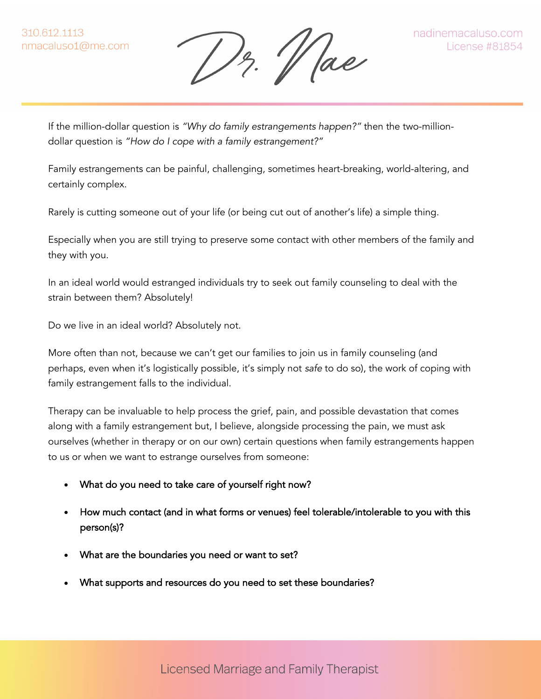Dr. Wae

If the million-dollar question is *"Why do family estrangements happen?"* then the two-milliondollar question is *"How do I cope with a family estrangement?"*

Family estrangements can be painful, challenging, sometimes heart-breaking, world-altering, and certainly complex.

Rarely is cutting someone out of your life (or being cut out of another's life) a simple thing.

Especially when you are still trying to preserve some contact with other members of the family and they with you.

In an ideal world would estranged individuals try to seek out family counseling to deal with the strain between them? Absolutely!

Do we live in an ideal world? Absolutely not.

More often than not, because we can't get our families to join us in family counseling (and perhaps, even when it's logistically possible, it's simply not *safe* to do so), the work of coping with family estrangement falls to the individual.

Therapy can be invaluable to help process the grief, pain, and possible devastation that comes along with a family estrangement but, I believe, alongside processing the pain, we must ask ourselves (whether in therapy or on our own) certain questions when family estrangements happen to us or when we want to estrange ourselves from someone:

- What do you need to take care of yourself right now?
- How much contact (and in what forms or venues) feel tolerable/intolerable to you with this person(s)?
- What are the boundaries you need or want to set?
- What supports and resources do you need to set these boundaries?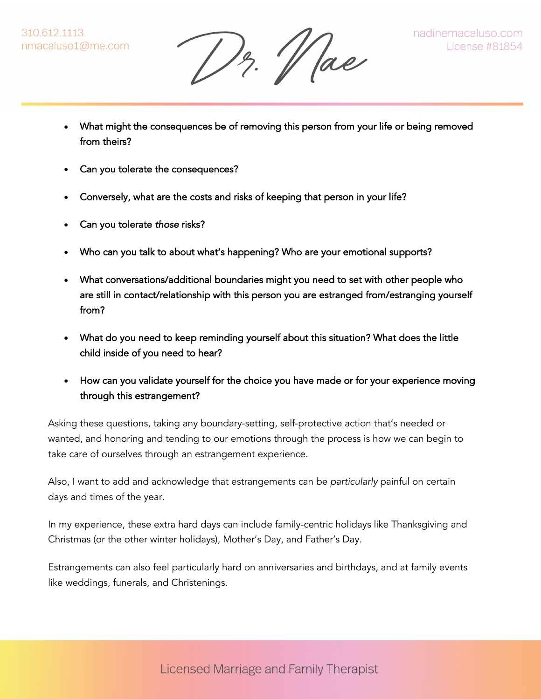Dr. Vae

- What might the consequences be of removing this person from your life or being removed from theirs?
- Can you tolerate the consequences?
- Conversely, what are the costs and risks of keeping that person in your life?
- Can you tolerate *those* risks?
- Who can you talk to about what's happening? Who are your emotional supports?
- What conversations/additional boundaries might you need to set with other people who are still in contact/relationship with this person you are estranged from/estranging yourself from?
- What do you need to keep reminding yourself about this situation? What does the little child inside of you need to hear?
- How can you validate yourself for the choice you have made or for your experience moving through this estrangement?

Asking these questions, taking any boundary-setting, self-protective action that's needed or wanted, and honoring and tending to our emotions through the process is how we can begin to take care of ourselves through an estrangement experience.

Also, I want to add and acknowledge that estrangements can be *particularly* painful on certain days and times of the year.

In my experience, these extra hard days can include family-centric holidays like Thanksgiving and Christmas (or the other winter holidays), Mother's Day, and Father's Day.

Estrangements can also feel particularly hard on anniversaries and birthdays, and at family events like weddings, funerals, and Christenings.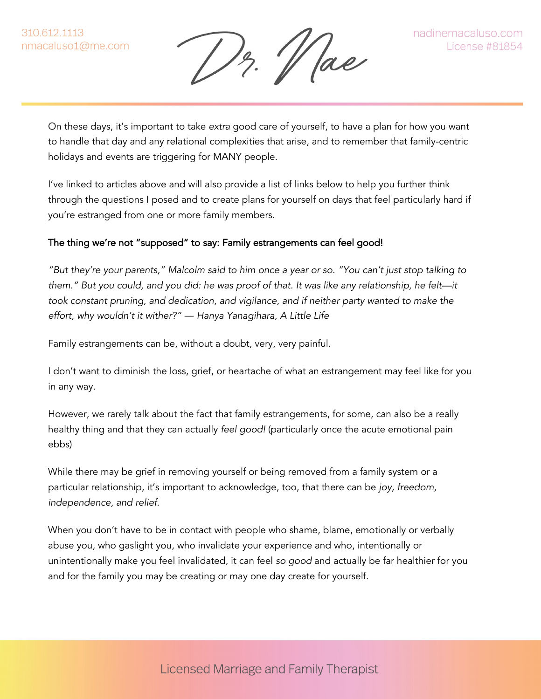12. Vae

On these days, it's important to take *extra* good care of yourself, to have a plan for how you want to handle that day and any relational complexities that arise, and to remember that family-centric holidays and events are triggering for MANY people.

I've linked to articles above and will also provide a list of links below to help you further think through the questions I posed and to create plans for yourself on days that feel particularly hard if you're estranged from one or more family members.

# The thing we're not "supposed" to say: Family estrangements can feel good!

*"But they're your parents," Malcolm said to him once a year or so. "You can't just stop talking to them." But you could, and you did: he was proof of that. It was like any relationship, he felt—it took constant pruning, and dedication, and vigilance, and if neither party wanted to make the effort, why wouldn't it wither?" ― Hanya Yanagihara, A Little Life*

Family estrangements can be, without a doubt, very, very painful.

I don't want to diminish the loss, grief, or heartache of what an estrangement may feel like for you in any way.

However, we rarely talk about the fact that family estrangements, for some, can also be a really healthy thing and that they can actually *feel good!* (particularly once the acute emotional pain ebbs)

While there may be grief in removing yourself or being removed from a family system or a particular relationship, it's important to acknowledge, too, that there can be *joy, freedom, independence, and relief.*

When you don't have to be in contact with people who shame, blame, emotionally or verbally abuse you, who gaslight you, who invalidate your experience and who, intentionally or unintentionally make you feel invalidated, it can feel *so good* and actually be far healthier for you and for the family you may be creating or may one day create for yourself.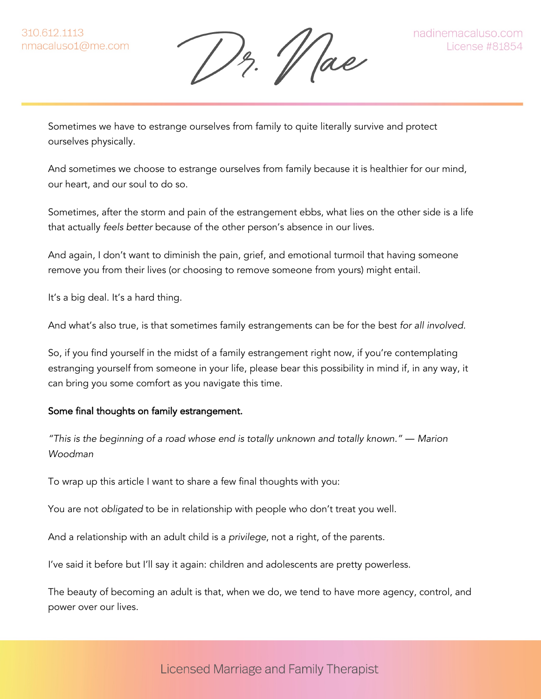Dr. Vae

Sometimes we have to estrange ourselves from family to quite literally survive and protect ourselves physically.

And sometimes we choose to estrange ourselves from family because it is healthier for our mind, our heart, and our soul to do so.

Sometimes, after the storm and pain of the estrangement ebbs, what lies on the other side is a life that actually *feels better* because of the other person's absence in our lives.

And again, I don't want to diminish the pain, grief, and emotional turmoil that having someone remove you from their lives (or choosing to remove someone from yours) might entail.

It's a big deal. It's a hard thing.

And what's also true, is that sometimes family estrangements can be for the best *for all involved.*

So, if you find yourself in the midst of a family estrangement right now, if you're contemplating estranging yourself from someone in your life, please bear this possibility in mind if, in any way, it can bring you some comfort as you navigate this time.

## Some final thoughts on family estrangement.

*"This is the beginning of a road whose end is totally unknown and totally known." ― Marion Woodman*

To wrap up this article I want to share a few final thoughts with you:

You are not *obligated* to be in relationship with people who don't treat you well.

And a relationship with an adult child is a *privilege*, not a right, of the parents.

I've said it before but I'll say it again: children and adolescents are pretty powerless.

The beauty of becoming an adult is that, when we do, we tend to have more agency, control, and power over our lives.